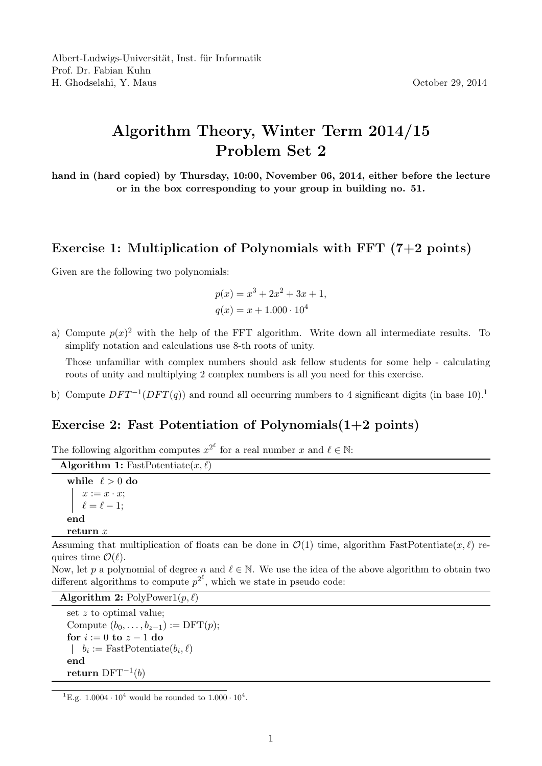## Algorithm Theory, Winter Term 2014/15 Problem Set 2

hand in (hard copied) by Thursday, 10:00, November 06, 2014, either before the lecture or in the box corresponding to your group in building no. 51.

## Exercise 1: Multiplication of Polynomials with FFT  $(7+2 \text{ points})$

Given are the following two polynomials:

$$
p(x) = x3 + 2x2 + 3x + 1,
$$
  

$$
q(x) = x + 1.000 \cdot 104
$$

a) Compute  $p(x)^2$  with the help of the FFT algorithm. Write down all intermediate results. To simplify notation and calculations use 8-th roots of unity.

Those unfamiliar with complex numbers should ask fellow students for some help - calculating roots of unity and multiplying 2 complex numbers is all you need for this exercise.

b) Compute  $DFT^{-1}(DFT(q))$  and round all occurring numbers to 4 significant digits (in base 10).<sup>1</sup>

## Exercise 2: Fast Potentiation of Polynomials $(1+2 \text{ points})$

The following algorithm computes  $x^{2^{\ell}}$  for a real number x and  $\ell \in \mathbb{N}$ :

```
Algorithm 1: FastPotentiate(x, \ell)while \ell > 0 do
    x := x \cdot x;
   \ell = \ell - 1;end
return x
```
Assuming that multiplication of floats can be done in  $\mathcal{O}(1)$  time, algorithm FastPotentiate $(x, \ell)$  requires time  $\mathcal{O}(\ell)$ .

Now, let p a polynomial of degree n and  $\ell \in \mathbb{N}$ . We use the idea of the above algorithm to obtain two different algorithms to compute  $p^{2^{\ell}}$ , which we state in pseudo code:

Algorithm 2:  $PolyPower1(p, \ell)$ 

set z to optimal value; Compute  $(b_0, \ldots, b_{z-1}) := \text{DFT}(p);$ for  $i := 0$  to  $z - 1$  do  $b_i := \text{FastPotential}(b_i, \ell)$ end  $\mathbf{return}\ \mathrm{DFT}^{-1}(b)$ 

<sup>&</sup>lt;sup>1</sup>E.g.  $1.0004 \cdot 10^4$  would be rounded to  $1.000 \cdot 10^4$ .